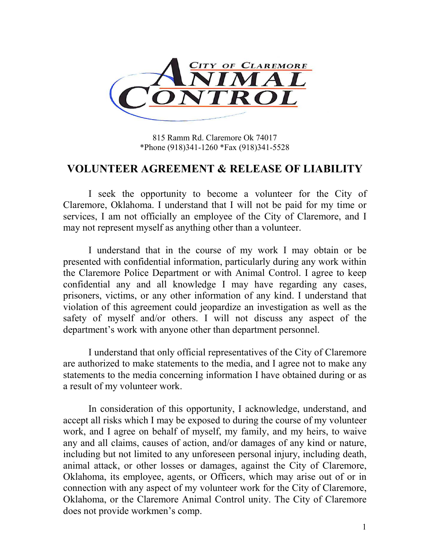

815 Ramm Rd. Claremore Ok 74017 \*Phone (918)341-1260 \*Fax (918)341-5528

## VOLUNTEER AGREEMENT & RELEASE OF LIABILITY

 I seek the opportunity to become a volunteer for the City of Claremore, Oklahoma. I understand that I will not be paid for my time or services, I am not officially an employee of the City of Claremore, and I may not represent myself as anything other than a volunteer.

 I understand that in the course of my work I may obtain or be presented with confidential information, particularly during any work within the Claremore Police Department or with Animal Control. I agree to keep confidential any and all knowledge I may have regarding any cases, prisoners, victims, or any other information of any kind. I understand that violation of this agreement could jeopardize an investigation as well as the safety of myself and/or others. I will not discuss any aspect of the department's work with anyone other than department personnel.

 I understand that only official representatives of the City of Claremore are authorized to make statements to the media, and I agree not to make any statements to the media concerning information I have obtained during or as a result of my volunteer work.

 In consideration of this opportunity, I acknowledge, understand, and accept all risks which I may be exposed to during the course of my volunteer work, and I agree on behalf of myself, my family, and my heirs, to waive any and all claims, causes of action, and/or damages of any kind or nature, including but not limited to any unforeseen personal injury, including death, animal attack, or other losses or damages, against the City of Claremore, Oklahoma, its employee, agents, or Officers, which may arise out of or in connection with any aspect of my volunteer work for the City of Claremore, Oklahoma, or the Claremore Animal Control unity. The City of Claremore does not provide workmen's comp.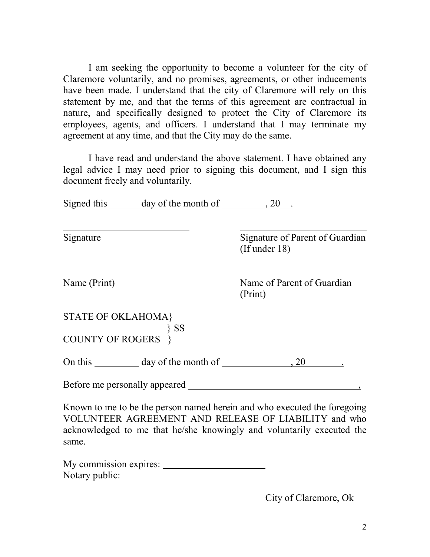I am seeking the opportunity to become a volunteer for the city of Claremore voluntarily, and no promises, agreements, or other inducements have been made. I understand that the city of Claremore will rely on this statement by me, and that the terms of this agreement are contractual in nature, and specifically designed to protect the City of Claremore its employees, agents, and officers. I understand that I may terminate my agreement at any time, and that the City may do the same.

 I have read and understand the above statement. I have obtained any legal advice I may need prior to signing this document, and I sign this document freely and voluntarily.

Signed this day of the month of , 20 .

Signature Signature of Parent of Guardian (If under 18)

 $\overline{\phantom{a}}$ 

Name (Print) Name of Parent of Guardian (Print)

STATE OF OKLAHOMA} } SS COUNTY OF ROGERS }

On this day of the month of , 20 .

Before me personally appeared  $\overline{\phantom{a}}$ 

Known to me to be the person named herein and who executed the foregoing VOLUNTEER AGREEMENT AND RELEASE OF LIABILITY and who acknowledged to me that he/she knowingly and voluntarily executed the same.

My commission expires: Notary public:

City of Claremore, Ok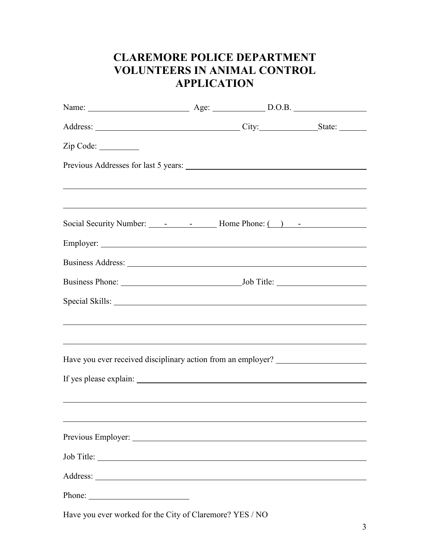## CLAREMORE POLICE DEPARTMENT VOLUNTEERS IN ANIMAL CONTROL **APPLICATION**

|                                                                                                                      | Name: <u>Name:</u> Age: <u>Age: D.O.B.</u> |  |  |
|----------------------------------------------------------------------------------------------------------------------|--------------------------------------------|--|--|
|                                                                                                                      |                                            |  |  |
| Zip Code:                                                                                                            |                                            |  |  |
|                                                                                                                      |                                            |  |  |
| <u> 1989 - Andrea Santa Andrea Santa Andrea Santa Andrea Santa Andrea Santa Andrea Santa Andrea Santa Andrea San</u> |                                            |  |  |
| ,我们也不会有什么。""我们的人,我们也不会有什么?""我们的人,我们也不会有什么?""我们的人,我们也不会有什么?""我们的人,我们也不会有什么?""我们的人                                     |                                            |  |  |
|                                                                                                                      |                                            |  |  |
|                                                                                                                      |                                            |  |  |
|                                                                                                                      |                                            |  |  |
|                                                                                                                      |                                            |  |  |
|                                                                                                                      |                                            |  |  |
|                                                                                                                      |                                            |  |  |
|                                                                                                                      |                                            |  |  |
| Have you ever received disciplinary action from an employer? ___________________                                     |                                            |  |  |
|                                                                                                                      |                                            |  |  |
|                                                                                                                      |                                            |  |  |
|                                                                                                                      |                                            |  |  |
|                                                                                                                      |                                            |  |  |
|                                                                                                                      |                                            |  |  |
| Address:<br><u> 1989 - Johann Stoff, Amerikaansk politiker (</u>                                                     |                                            |  |  |
|                                                                                                                      |                                            |  |  |

Have you ever worked for the City of Claremore? YES / NO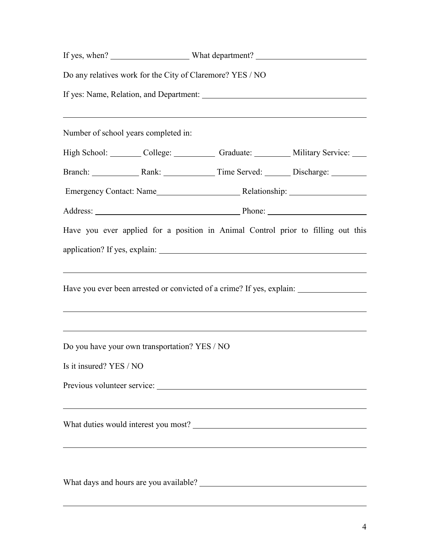|                                               | Do any relatives work for the City of Claremore? YES / NO                                                              |                                                                                                                                                                                                                    |  |  |  |
|-----------------------------------------------|------------------------------------------------------------------------------------------------------------------------|--------------------------------------------------------------------------------------------------------------------------------------------------------------------------------------------------------------------|--|--|--|
|                                               |                                                                                                                        |                                                                                                                                                                                                                    |  |  |  |
| Number of school years completed in:          | ,我们也不会有什么。""我们的人,我们也不会有什么?""我们的人,我们也不会有什么?""我们的人,我们也不会有什么?""我们的人,我们也不会有什么?""我们的人                                       |                                                                                                                                                                                                                    |  |  |  |
|                                               |                                                                                                                        | High School: College: College: Graduate: Military Service: College: College: College: College: Craduate: College: Military Service:                                                                                |  |  |  |
|                                               |                                                                                                                        | Branch: Rank: Rank: Time Served: Discharge: 2008.                                                                                                                                                                  |  |  |  |
|                                               |                                                                                                                        |                                                                                                                                                                                                                    |  |  |  |
|                                               |                                                                                                                        |                                                                                                                                                                                                                    |  |  |  |
|                                               |                                                                                                                        | Have you ever applied for a position in Animal Control prior to filling out this                                                                                                                                   |  |  |  |
|                                               |                                                                                                                        |                                                                                                                                                                                                                    |  |  |  |
|                                               | <u> 1989 - Johann Stoff, deutscher Stoffen und der Stoffen und der Stoffen und der Stoffen und der Stoffen und der</u> | Have you ever been arrested or convicted of a crime? If yes, explain: _________________<br><u> 1999 - Johann Harry Harry Harry Harry Harry Harry Harry Harry Harry Harry Harry Harry Harry Harry Harry Harry H</u> |  |  |  |
| Do you have your own transportation? YES / NO |                                                                                                                        |                                                                                                                                                                                                                    |  |  |  |
| Is it insured? YES / NO                       |                                                                                                                        |                                                                                                                                                                                                                    |  |  |  |
|                                               |                                                                                                                        |                                                                                                                                                                                                                    |  |  |  |
|                                               |                                                                                                                        |                                                                                                                                                                                                                    |  |  |  |
|                                               |                                                                                                                        |                                                                                                                                                                                                                    |  |  |  |
|                                               |                                                                                                                        |                                                                                                                                                                                                                    |  |  |  |

 $\overline{a}$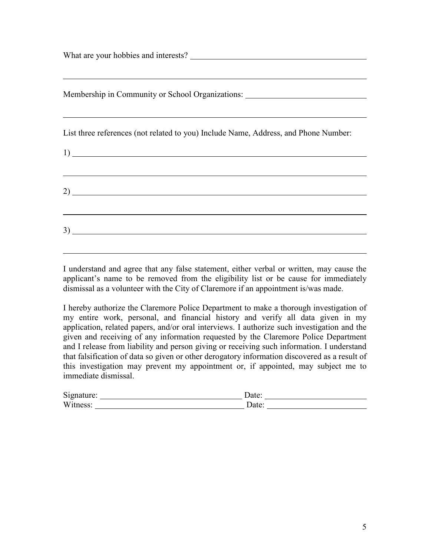What are your hobbies and interests?  $\overline{a}$ Membership in Community or School Organizations: \_\_\_\_\_\_\_\_\_\_\_\_\_\_\_\_\_\_\_\_\_\_\_\_\_\_\_\_\_\_\_  $\overline{a}$ List three references (not related to you) Include Name, Address, and Phone Number: 1)  $\overline{a}$ <u> 1989 - Johann Stoff, amerikansk politiker (\* 1908)</u> 2)  $\overline{a}$ 3)

I understand and agree that any false statement, either verbal or written, may cause the applicant's name to be removed from the eligibility list or be cause for immediately dismissal as a volunteer with the City of Claremore if an appointment is/was made.

 $\overline{a}$ 

I hereby authorize the Claremore Police Department to make a thorough investigation of my entire work, personal, and financial history and verify all data given in my application, related papers, and/or oral interviews. I authorize such investigation and the given and receiving of any information requested by the Claremore Police Department and I release from liability and person giving or receiving such information. I understand that falsification of data so given or other derogatory information discovered as a result of this investigation may prevent my appointment or, if appointed, may subject me to immediate dismissal.

| Signature: | Jate <sup>.</sup> |
|------------|-------------------|
| Witness:   | Jate <sup>.</sup> |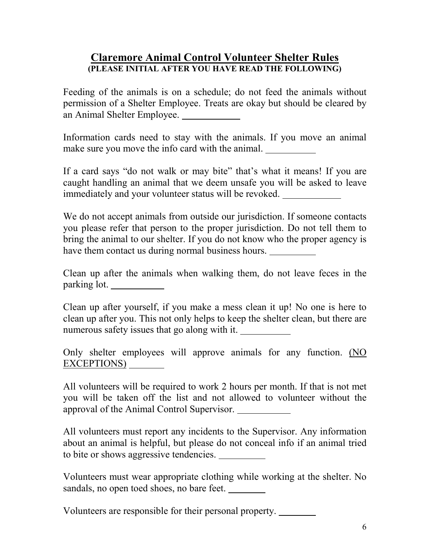## Claremore Animal Control Volunteer Shelter Rules (PLEASE INITIAL AFTER YOU HAVE READ THE FOLLOWING)

Feeding of the animals is on a schedule; do not feed the animals without permission of a Shelter Employee. Treats are okay but should be cleared by an Animal Shelter Employee.

Information cards need to stay with the animals. If you move an animal make sure you move the info card with the animal.

If a card says "do not walk or may bite" that's what it means! If you are caught handling an animal that we deem unsafe you will be asked to leave immediately and your volunteer status will be revoked.

We do not accept animals from outside our jurisdiction. If someone contacts you please refer that person to the proper jurisdiction. Do not tell them to bring the animal to our shelter. If you do not know who the proper agency is have them contact us during normal business hours.

Clean up after the animals when walking them, do not leave feces in the parking lot.

Clean up after yourself, if you make a mess clean it up! No one is here to clean up after you. This not only helps to keep the shelter clean, but there are numerous safety issues that go along with it.

Only shelter employees will approve animals for any function. (NO EXCEPTIONS)

All volunteers will be required to work 2 hours per month. If that is not met you will be taken off the list and not allowed to volunteer without the approval of the Animal Control Supervisor.

All volunteers must report any incidents to the Supervisor. Any information about an animal is helpful, but please do not conceal info if an animal tried to bite or shows aggressive tendencies.

Volunteers must wear appropriate clothing while working at the shelter. No sandals, no open toed shoes, no bare feet.

Volunteers are responsible for their personal property.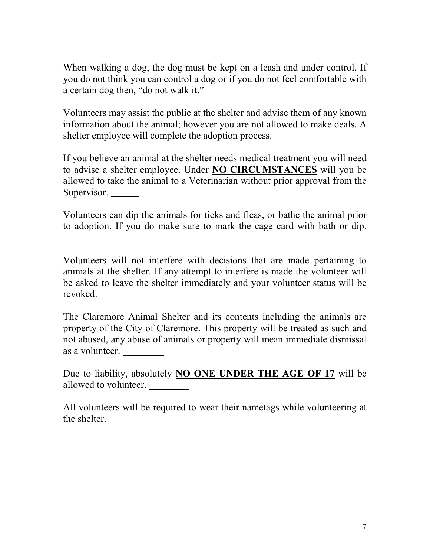When walking a dog, the dog must be kept on a leash and under control. If you do not think you can control a dog or if you do not feel comfortable with a certain dog then, "do not walk it."

Volunteers may assist the public at the shelter and advise them of any known information about the animal; however you are not allowed to make deals. A shelter employee will complete the adoption process.

If you believe an animal at the shelter needs medical treatment you will need to advise a shelter employee. Under **NO CIRCUMSTANCES** will you be allowed to take the animal to a Veterinarian without prior approval from the Supervisor.

Volunteers can dip the animals for ticks and fleas, or bathe the animal prior to adoption. If you do make sure to mark the cage card with bath or dip.

Volunteers will not interfere with decisions that are made pertaining to animals at the shelter. If any attempt to interfere is made the volunteer will be asked to leave the shelter immediately and your volunteer status will be revoked.

The Claremore Animal Shelter and its contents including the animals are property of the City of Claremore. This property will be treated as such and not abused, any abuse of animals or property will mean immediate dismissal as a volunteer.

Due to liability, absolutely **NO ONE UNDER THE AGE OF 17** will be allowed to volunteer.

All volunteers will be required to wear their nametags while volunteering at the shelter.